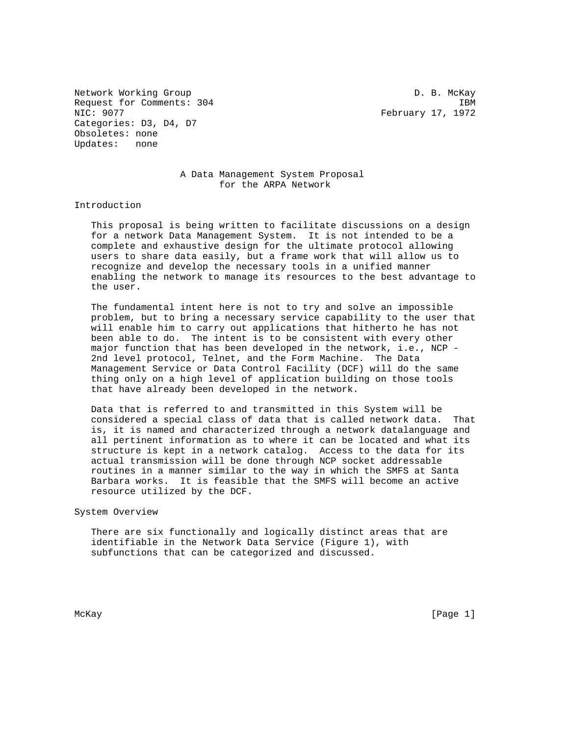Network Working Group D. B. McKay Request for Comments: 304 IBM<br>NIC: 9077 IBM Categories: D3, D4, D7 Obsoletes: none Updates: none

February 17, 1972

## A Data Management System Proposal for the ARPA Network

Introduction

 This proposal is being written to facilitate discussions on a design for a network Data Management System. It is not intended to be a complete and exhaustive design for the ultimate protocol allowing users to share data easily, but a frame work that will allow us to recognize and develop the necessary tools in a unified manner enabling the network to manage its resources to the best advantage to the user.

 The fundamental intent here is not to try and solve an impossible problem, but to bring a necessary service capability to the user that will enable him to carry out applications that hitherto he has not been able to do. The intent is to be consistent with every other major function that has been developed in the network, i.e., NCP - 2nd level protocol, Telnet, and the Form Machine. The Data Management Service or Data Control Facility (DCF) will do the same thing only on a high level of application building on those tools that have already been developed in the network.

 Data that is referred to and transmitted in this System will be considered a special class of data that is called network data. That is, it is named and characterized through a network datalanguage and all pertinent information as to where it can be located and what its structure is kept in a network catalog. Access to the data for its actual transmission will be done through NCP socket addressable routines in a manner similar to the way in which the SMFS at Santa Barbara works. It is feasible that the SMFS will become an active resource utilized by the DCF.

System Overview

 There are six functionally and logically distinct areas that are identifiable in the Network Data Service (Figure 1), with subfunctions that can be categorized and discussed.

McKay [Page 1]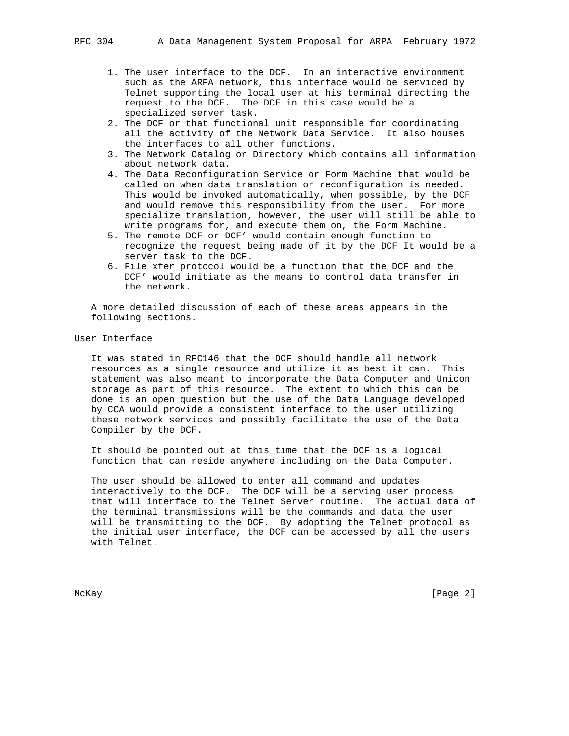- 1. The user interface to the DCF. In an interactive environment such as the ARPA network, this interface would be serviced by Telnet supporting the local user at his terminal directing the request to the DCF. The DCF in this case would be a specialized server task.
- 2. The DCF or that functional unit responsible for coordinating all the activity of the Network Data Service. It also houses the interfaces to all other functions.
- 3. The Network Catalog or Directory which contains all information about network data.
- 4. The Data Reconfiguration Service or Form Machine that would be called on when data translation or reconfiguration is needed. This would be invoked automatically, when possible, by the DCF and would remove this responsibility from the user. For more specialize translation, however, the user will still be able to write programs for, and execute them on, the Form Machine.
- 5. The remote DCF or DCF' would contain enough function to recognize the request being made of it by the DCF It would be a server task to the DCF.
- 6. File xfer protocol would be a function that the DCF and the DCF' would initiate as the means to control data transfer in the network.

 A more detailed discussion of each of these areas appears in the following sections.

## User Interface

 It was stated in RFC146 that the DCF should handle all network resources as a single resource and utilize it as best it can. This statement was also meant to incorporate the Data Computer and Unicon storage as part of this resource. The extent to which this can be done is an open question but the use of the Data Language developed by CCA would provide a consistent interface to the user utilizing these network services and possibly facilitate the use of the Data Compiler by the DCF.

 It should be pointed out at this time that the DCF is a logical function that can reside anywhere including on the Data Computer.

 The user should be allowed to enter all command and updates interactively to the DCF. The DCF will be a serving user process that will interface to the Telnet Server routine. The actual data of the terminal transmissions will be the commands and data the user will be transmitting to the DCF. By adopting the Telnet protocol as the initial user interface, the DCF can be accessed by all the users with Telnet.

McKay [Page 2]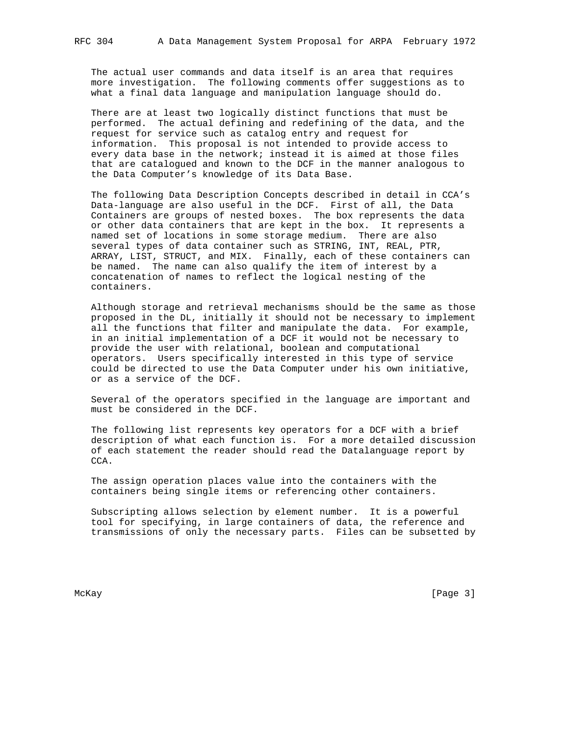The actual user commands and data itself is an area that requires more investigation. The following comments offer suggestions as to what a final data language and manipulation language should do.

 There are at least two logically distinct functions that must be performed. The actual defining and redefining of the data, and the request for service such as catalog entry and request for information. This proposal is not intended to provide access to every data base in the network; instead it is aimed at those files that are catalogued and known to the DCF in the manner analogous to the Data Computer's knowledge of its Data Base.

 The following Data Description Concepts described in detail in CCA's Data-language are also useful in the DCF. First of all, the Data Containers are groups of nested boxes. The box represents the data or other data containers that are kept in the box. It represents a named set of locations in some storage medium. There are also several types of data container such as STRING, INT, REAL, PTR, ARRAY, LIST, STRUCT, and MIX. Finally, each of these containers can be named. The name can also qualify the item of interest by a concatenation of names to reflect the logical nesting of the containers.

 Although storage and retrieval mechanisms should be the same as those proposed in the DL, initially it should not be necessary to implement all the functions that filter and manipulate the data. For example, in an initial implementation of a DCF it would not be necessary to provide the user with relational, boolean and computational operators. Users specifically interested in this type of service could be directed to use the Data Computer under his own initiative, or as a service of the DCF.

 Several of the operators specified in the language are important and must be considered in the DCF.

 The following list represents key operators for a DCF with a brief description of what each function is. For a more detailed discussion of each statement the reader should read the Datalanguage report by  $CCA$ 

 The assign operation places value into the containers with the containers being single items or referencing other containers.

 Subscripting allows selection by element number. It is a powerful tool for specifying, in large containers of data, the reference and transmissions of only the necessary parts. Files can be subsetted by

McKay [Page 3]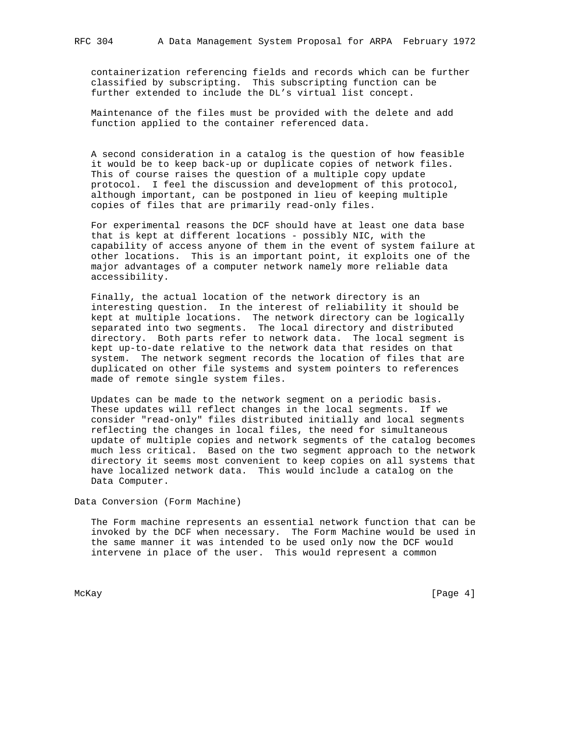containerization referencing fields and records which can be further classified by subscripting. This subscripting function can be further extended to include the DL's virtual list concept.

 Maintenance of the files must be provided with the delete and add function applied to the container referenced data.

 A second consideration in a catalog is the question of how feasible it would be to keep back-up or duplicate copies of network files. This of course raises the question of a multiple copy update protocol. I feel the discussion and development of this protocol, although important, can be postponed in lieu of keeping multiple copies of files that are primarily read-only files.

 For experimental reasons the DCF should have at least one data base that is kept at different locations - possibly NIC, with the capability of access anyone of them in the event of system failure at other locations. This is an important point, it exploits one of the major advantages of a computer network namely more reliable data accessibility.

 Finally, the actual location of the network directory is an interesting question. In the interest of reliability it should be kept at multiple locations. The network directory can be logically separated into two segments. The local directory and distributed directory. Both parts refer to network data. The local segment is kept up-to-date relative to the network data that resides on that system. The network segment records the location of files that are duplicated on other file systems and system pointers to references made of remote single system files.

 Updates can be made to the network segment on a periodic basis. These updates will reflect changes in the local segments. If we consider "read-only" files distributed initially and local segments reflecting the changes in local files, the need for simultaneous update of multiple copies and network segments of the catalog becomes much less critical. Based on the two segment approach to the network directory it seems most convenient to keep copies on all systems that have localized network data. This would include a catalog on the Data Computer.

Data Conversion (Form Machine)

 The Form machine represents an essential network function that can be invoked by the DCF when necessary. The Form Machine would be used in the same manner it was intended to be used only now the DCF would intervene in place of the user. This would represent a common

McKay [Page 4]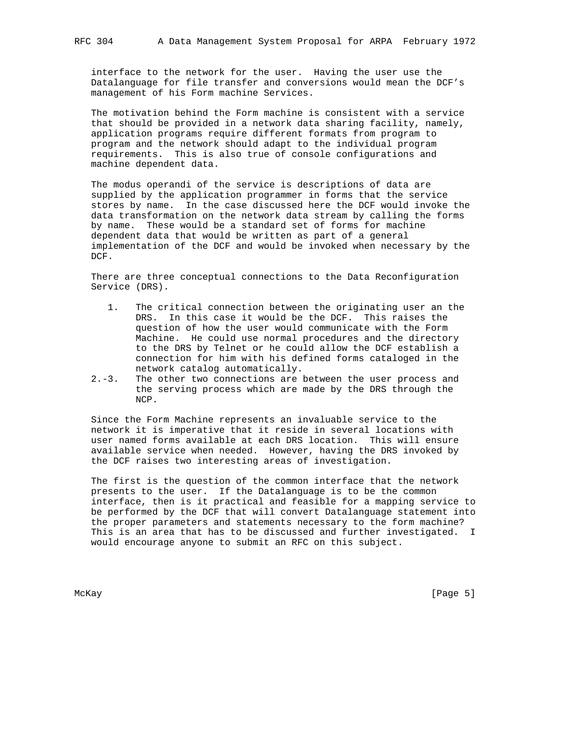interface to the network for the user. Having the user use the Datalanguage for file transfer and conversions would mean the DCF's management of his Form machine Services.

 The motivation behind the Form machine is consistent with a service that should be provided in a network data sharing facility, namely, application programs require different formats from program to program and the network should adapt to the individual program requirements. This is also true of console configurations and machine dependent data.

 The modus operandi of the service is descriptions of data are supplied by the application programmer in forms that the service stores by name. In the case discussed here the DCF would invoke the data transformation on the network data stream by calling the forms by name. These would be a standard set of forms for machine dependent data that would be written as part of a general implementation of the DCF and would be invoked when necessary by the DCF.

 There are three conceptual connections to the Data Reconfiguration Service (DRS).

- 1. The critical connection between the originating user an the DRS. In this case it would be the DCF. This raises the question of how the user would communicate with the Form Machine. He could use normal procedures and the directory to the DRS by Telnet or he could allow the DCF establish a connection for him with his defined forms cataloged in the network catalog automatically.
- 2.-3. The other two connections are between the user process and the serving process which are made by the DRS through the NCP.

 Since the Form Machine represents an invaluable service to the network it is imperative that it reside in several locations with user named forms available at each DRS location. This will ensure available service when needed. However, having the DRS invoked by the DCF raises two interesting areas of investigation.

 The first is the question of the common interface that the network presents to the user. If the Datalanguage is to be the common interface, then is it practical and feasible for a mapping service to be performed by the DCF that will convert Datalanguage statement into the proper parameters and statements necessary to the form machine? This is an area that has to be discussed and further investigated. I would encourage anyone to submit an RFC on this subject.

McKay [Page 5]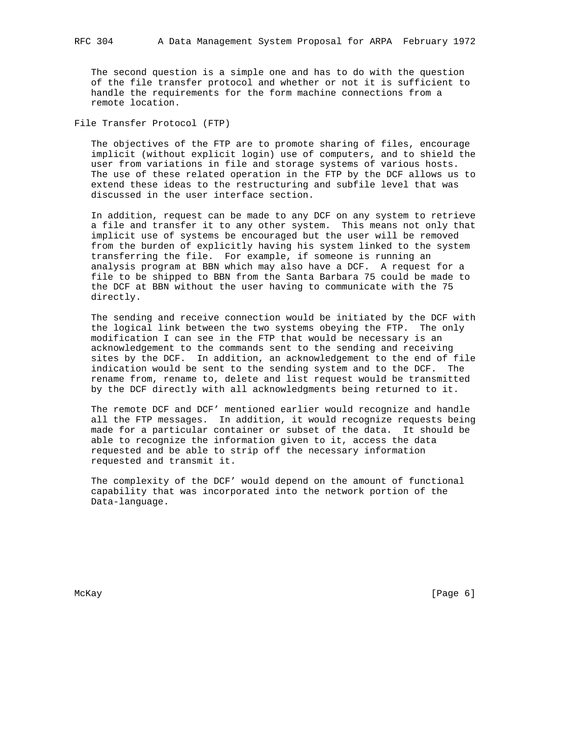The second question is a simple one and has to do with the question of the file transfer protocol and whether or not it is sufficient to handle the requirements for the form machine connections from a remote location.

File Transfer Protocol (FTP)

 The objectives of the FTP are to promote sharing of files, encourage implicit (without explicit login) use of computers, and to shield the user from variations in file and storage systems of various hosts. The use of these related operation in the FTP by the DCF allows us to extend these ideas to the restructuring and subfile level that was discussed in the user interface section.

 In addition, request can be made to any DCF on any system to retrieve a file and transfer it to any other system. This means not only that implicit use of systems be encouraged but the user will be removed from the burden of explicitly having his system linked to the system transferring the file. For example, if someone is running an analysis program at BBN which may also have a DCF. A request for a file to be shipped to BBN from the Santa Barbara 75 could be made to the DCF at BBN without the user having to communicate with the 75 directly.

 The sending and receive connection would be initiated by the DCF with the logical link between the two systems obeying the FTP. The only modification I can see in the FTP that would be necessary is an acknowledgement to the commands sent to the sending and receiving sites by the DCF. In addition, an acknowledgement to the end of file indication would be sent to the sending system and to the DCF. The rename from, rename to, delete and list request would be transmitted by the DCF directly with all acknowledgments being returned to it.

 The remote DCF and DCF' mentioned earlier would recognize and handle all the FTP messages. In addition, it would recognize requests being made for a particular container or subset of the data. It should be able to recognize the information given to it, access the data requested and be able to strip off the necessary information requested and transmit it.

 The complexity of the DCF' would depend on the amount of functional capability that was incorporated into the network portion of the Data-language.

McKay [Page 6]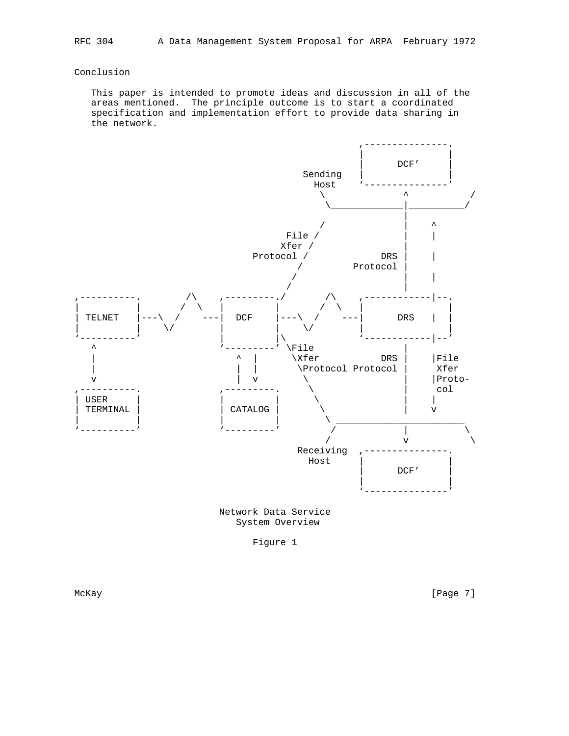## Conclusion

 This paper is intended to promote ideas and discussion in all of the areas mentioned. The principle outcome is to start a coordinated specification and implementation effort to provide data sharing in the network.



 Network Data Service System Overview

Figure 1

McKay [Page 7]